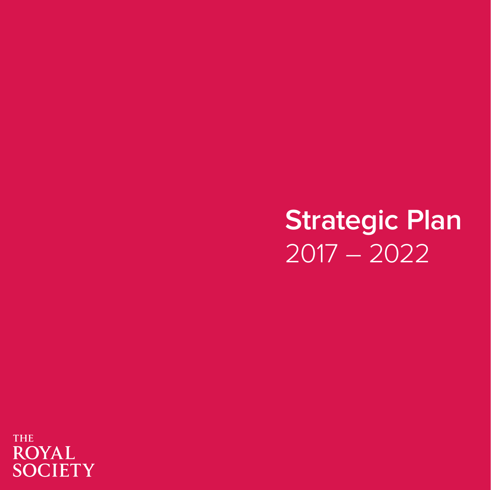**Strategic Plan** 2017 – 2022

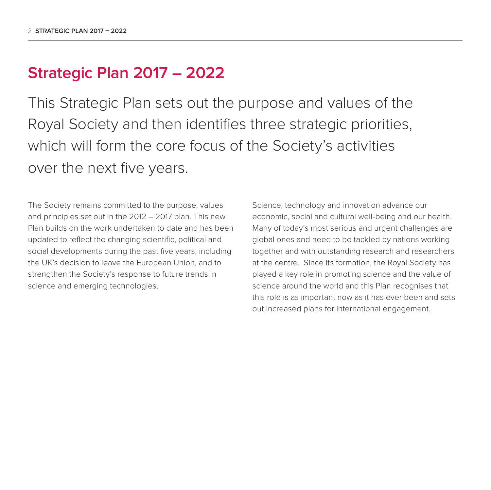### **Strategic Plan 2017 – 2022**

This Strategic Plan sets out the purpose and values of the Royal Society and then identifies three strategic priorities, which will form the core focus of the Society's activities over the next five years.

The Society remains committed to the purpose, values and principles set out in the 2012 – 2017 plan. This new Plan builds on the work undertaken to date and has been updated to reflect the changing scientific, political and social developments during the past five years, including the UK's decision to leave the European Union, and to strengthen the Society's response to future trends in science and emerging technologies.

Science, technology and innovation advance our economic, social and cultural well-being and our health. Many of today's most serious and urgent challenges are global ones and need to be tackled by nations working together and with outstanding research and researchers at the centre. Since its formation, the Royal Society has played a key role in promoting science and the value of science around the world and this Plan recognises that this role is as important now as it has ever been and sets out increased plans for international engagement.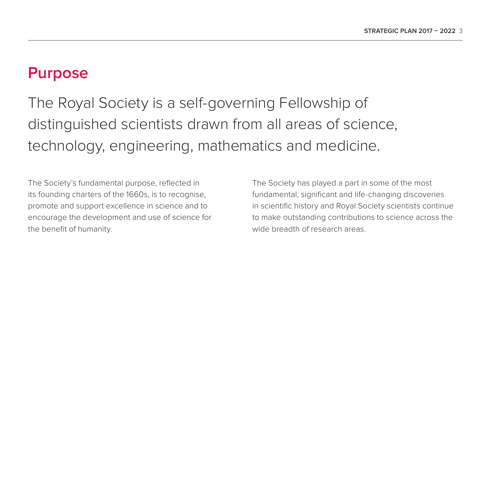### **Purpose**

The Royal Society is a self-governing Fellowship of distinguished scientists drawn from all areas of science, technology, engineering, mathematics and medicine.

The Society's fundamental purpose, reflected in its founding charters of the 1660s, is to recognise, promote and support excellence in science and to encourage the development and use of science for the benefit of humanity.

The Society has played a part in some of the most fundamental, significant and life-changing discoveries in scientific history and Royal Society scientists continue to make outstanding contributions to science across the wide breadth of research areas.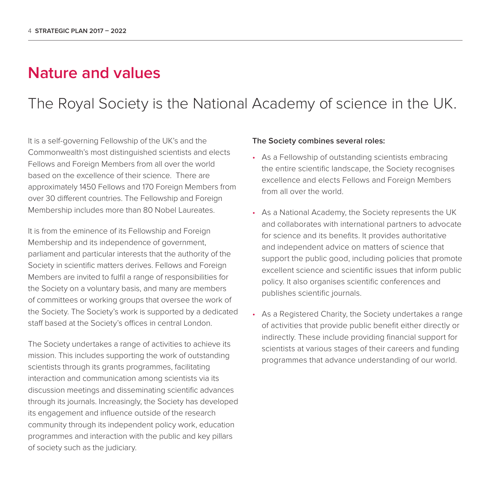### **Nature and values**

The Royal Society is the National Academy of science in the UK.

It is a self-governing Fellowship of the UK's and the Commonwealth's most distinguished scientists and elects Fellows and Foreign Members from all over the world based on the excellence of their science. There are approximately 1450 Fellows and 170 Foreign Members from over 30 different countries. The Fellowship and Foreign Membership includes more than 80 Nobel Laureates.

It is from the eminence of its Fellowship and Foreign Membership and its independence of government, parliament and particular interests that the authority of the Society in scientific matters derives. Fellows and Foreign Members are invited to fulfil a range of responsibilities for the Society on a voluntary basis, and many are members of committees or working groups that oversee the work of the Society. The Society's work is supported by a dedicated staff based at the Society's offices in central London.

The Society undertakes a range of activities to achieve its mission. This includes supporting the work of outstanding scientists through its grants programmes, facilitating interaction and communication among scientists via its discussion meetings and disseminating scientific advances through its journals. Increasingly, the Society has developed its engagement and influence outside of the research community through its independent policy work, education programmes and interaction with the public and key pillars of society such as the judiciary.

#### **The Society combines several roles:**

- As a Fellowship of outstanding scientists embracing the entire scientific landscape, the Society recognises excellence and elects Fellows and Foreign Members from all over the world.
- As a National Academy, the Society represents the UK and collaborates with international partners to advocate for science and its benefits. It provides authoritative and independent advice on matters of science that support the public good, including policies that promote excellent science and scientific issues that inform public policy. It also organises scientific conferences and publishes scientific journals.
- As a Registered Charity, the Society undertakes a range of activities that provide public benefit either directly or indirectly. These include providing financial support for scientists at various stages of their careers and funding programmes that advance understanding of our world.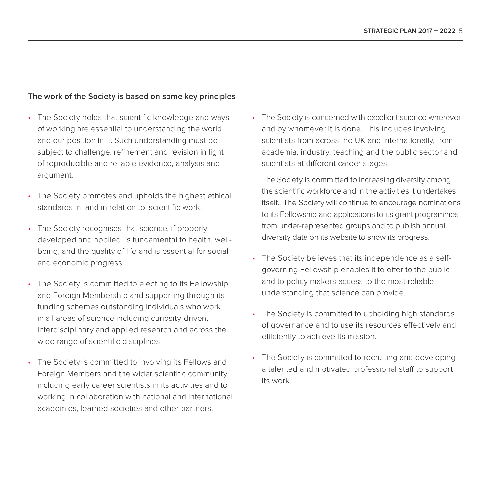#### **The work of the Society is based on some key principles**

- The Society holds that scientific knowledge and ways of working are essential to understanding the world and our position in it. Such understanding must be subject to challenge, refinement and revision in light of reproducible and reliable evidence, analysis and argument.
- The Society promotes and upholds the highest ethical standards in, and in relation to, scientific work.
- The Society recognises that science, if properly developed and applied, is fundamental to health, wellbeing, and the quality of life and is essential for social and economic progress.
- The Society is committed to electing to its Fellowship and Foreign Membership and supporting through its funding schemes outstanding individuals who work in all areas of science including curiosity-driven, interdisciplinary and applied research and across the wide range of scientific disciplines.
- The Society is committed to involving its Fellows and Foreign Members and the wider scientific community including early career scientists in its activities and to working in collaboration with national and international academies, learned societies and other partners.

• The Society is concerned with excellent science wherever and by whomever it is done. This includes involving scientists from across the UK and internationally, from academia, industry, teaching and the public sector and scientists at different career stages.

 The Society is committed to increasing diversity among the scientific workforce and in the activities it undertakes itself. The Society will continue to encourage nominations to its Fellowship and applications to its grant programmes from under-represented groups and to publish annual diversity data on its website to show its progress.

- The Society believes that its independence as a selfgoverning Fellowship enables it to offer to the public and to policy makers access to the most reliable understanding that science can provide.
- The Society is committed to upholding high standards of governance and to use its resources effectively and efficiently to achieve its mission.
- The Society is committed to recruiting and developing a talented and motivated professional staff to support its work.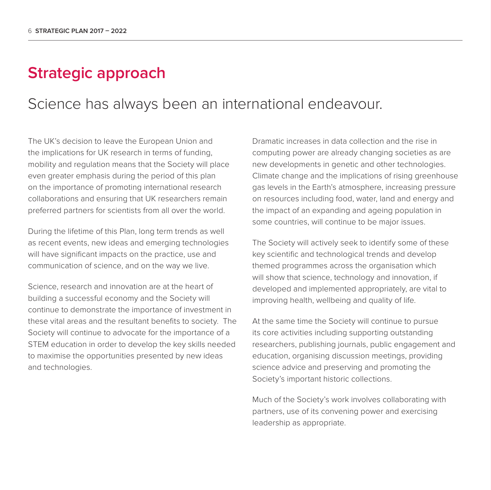### **Strategic approach**

### Science has always been an international endeavour.

The UK's decision to leave the European Union and the implications for UK research in terms of funding, mobility and regulation means that the Society will place even greater emphasis during the period of this plan on the importance of promoting international research collaborations and ensuring that UK researchers remain preferred partners for scientists from all over the world.

During the lifetime of this Plan, long term trends as well as recent events, new ideas and emerging technologies will have significant impacts on the practice, use and communication of science, and on the way we live.

Science, research and innovation are at the heart of building a successful economy and the Society will continue to demonstrate the importance of investment in these vital areas and the resultant benefits to society. The Society will continue to advocate for the importance of a STEM education in order to develop the key skills needed to maximise the opportunities presented by new ideas and technologies.

Dramatic increases in data collection and the rise in computing power are already changing societies as are new developments in genetic and other technologies. Climate change and the implications of rising greenhouse gas levels in the Earth's atmosphere, increasing pressure on resources including food, water, land and energy and the impact of an expanding and ageing population in some countries, will continue to be major issues.

The Society will actively seek to identify some of these key scientific and technological trends and develop themed programmes across the organisation which will show that science, technology and innovation, if developed and implemented appropriately, are vital to improving health, wellbeing and quality of life.

At the same time the Society will continue to pursue its core activities including supporting outstanding researchers, publishing journals, public engagement and education, organising discussion meetings, providing science advice and preserving and promoting the Society's important historic collections.

Much of the Society's work involves collaborating with partners, use of its convening power and exercising leadership as appropriate.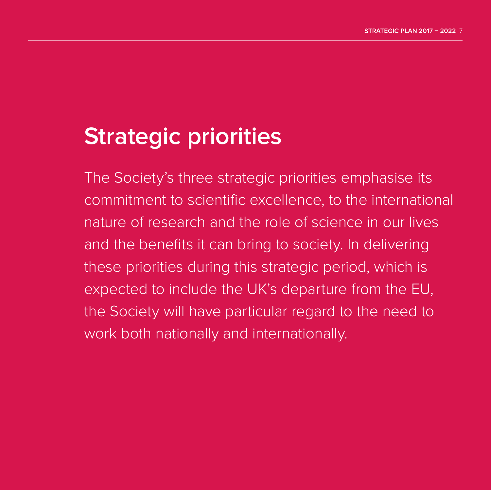# **Strategic priorities**

The Society's three strategic priorities emphasise its commitment to scientific excellence, to the international nature of research and the role of science in our lives and the benefits it can bring to society. In delivering these priorities during this strategic period, which is expected to include the UK's departure from the EU, the Society will have particular regard to the need to work both nationally and internationally.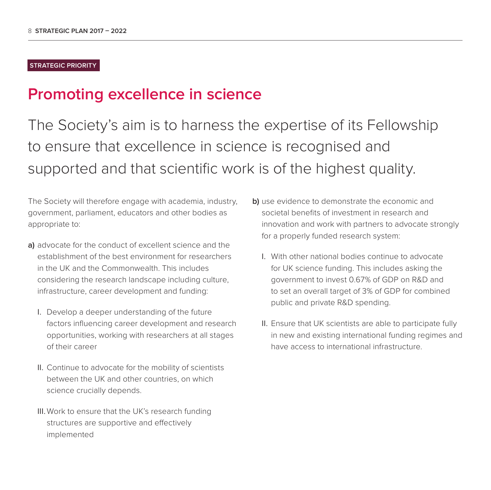#### **STRATEGIC PRIORITY**

### **Promoting excellence in science**

The Society's aim is to harness the expertise of its Fellowship to ensure that excellence in science is recognised and supported and that scientific work is of the highest quality.

The Society will therefore engage with academia, industry, government, parliament, educators and other bodies as appropriate to:

- **a)** advocate for the conduct of excellent science and the establishment of the best environment for researchers in the UK and the Commonwealth. This includes considering the research landscape including culture, infrastructure, career development and funding:
	- I. Develop a deeper understanding of the future factors influencing career development and research opportunities, working with researchers at all stages of their career
	- II. Continue to advocate for the mobility of scientists between the UK and other countries, on which science crucially depends.
	- III. Work to ensure that the UK's research funding structures are supportive and effectively implemented
- **b)** use evidence to demonstrate the economic and societal benefits of investment in research and innovation and work with partners to advocate strongly for a properly funded research system:
	- I. With other national bodies continue to advocate for UK science funding. This includes asking the government to invest 0.67% of GDP on R&D and to set an overall target of 3% of GDP for combined public and private R&D spending.
	- II. Ensure that UK scientists are able to participate fully in new and existing international funding regimes and have access to international infrastructure.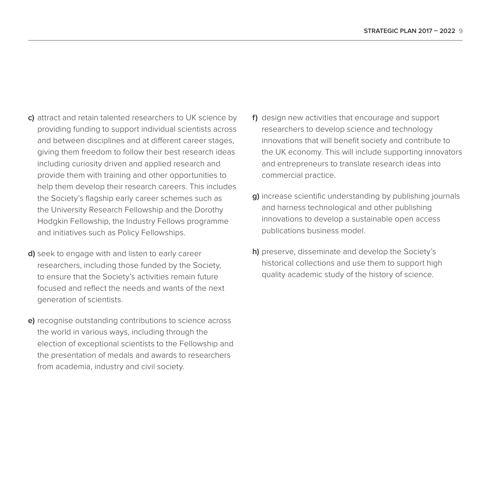- **c)** attract and retain talented researchers to UK science by providing funding to support individual scientists across and between disciplines and at different career stages, giving them freedom to follow their best research ideas including curiosity driven and applied research and provide them with training and other opportunities to help them develop their research careers. This includes the Society's flagship early career schemes such as the University Research Fellowship and the Dorothy Hodgkin Fellowship, the Industry Fellows programme and initiatives such as Policy Fellowships.
- **d)** seek to engage with and listen to early career researchers, including those funded by the Society, to ensure that the Society's activities remain future focused and reflect the needs and wants of the next generation of scientists.
- **e)** recognise outstanding contributions to science across the world in various ways, including through the election of exceptional scientists to the Fellowship and the presentation of medals and awards to researchers from academia, industry and civil society.
- **f)** design new activities that encourage and support researchers to develop science and technology innovations that will benefit society and contribute to the UK economy. This will include supporting innovators and entrepreneurs to translate research ideas into commercial practice.
- **g)** increase scientific understanding by publishing journals and harness technological and other publishing innovations to develop a sustainable open access publications business model.
- **h)** preserve, disseminate and develop the Society's historical collections and use them to support high quality academic study of the history of science.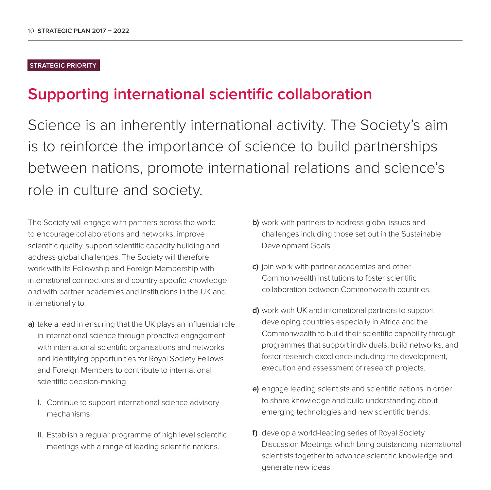#### **STRATEGIC PRIORITY**

### **Supporting international scientific collaboration**

Science is an inherently international activity. The Society's aim is to reinforce the importance of science to build partnerships between nations, promote international relations and science's role in culture and society.

The Society will engage with partners across the world to encourage collaborations and networks, improve scientific quality, support scientific capacity building and address global challenges. The Society will therefore work with its Fellowship and Foreign Membership with international connections and country-specific knowledge and with partner academies and institutions in the UK and internationally to:

- **a)** take a lead in ensuring that the UK plays an influential role in international science through proactive engagement with international scientific organisations and networks and identifying opportunities for Royal Society Fellows and Foreign Members to contribute to international scientific decision-making.
	- I. Continue to support international science advisory mechanisms
	- II. Establish a regular programme of high level scientific meetings with a range of leading scientific nations.
- **b)** work with partners to address global issues and challenges including those set out in the Sustainable Development Goals.
- **c)** join work with partner academies and other Commonwealth institutions to foster scientific collaboration between Commonwealth countries.
- **d)** work with UK and international partners to support developing countries especially in Africa and the Commonwealth to build their scientific capability through programmes that support individuals, build networks, and foster research excellence including the development, execution and assessment of research projects.
- **e)** engage leading scientists and scientific nations in order to share knowledge and build understanding about emerging technologies and new scientific trends.
- **f)** develop a world-leading series of Royal Society Discussion Meetings which bring outstanding international scientists together to advance scientific knowledge and generate new ideas.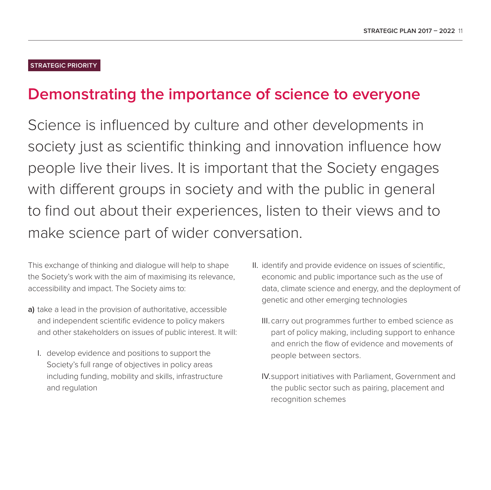#### **STRATEGIC PRIORITY**

### **Demonstrating the importance of science to everyone**

Science is influenced by culture and other developments in society just as scientific thinking and innovation influence how people live their lives. It is important that the Society engages with different groups in society and with the public in general to find out about their experiences, listen to their views and to make science part of wider conversation.

This exchange of thinking and dialogue will help to shape the Society's work with the aim of maximising its relevance, accessibility and impact. The Society aims to:

- **a)** take a lead in the provision of authoritative, accessible and independent scientific evidence to policy makers and other stakeholders on issues of public interest. It will:
	- I. develop evidence and positions to support the Society's full range of objectives in policy areas including funding, mobility and skills, infrastructure and regulation
- II. identify and provide evidence on issues of scientific, economic and public importance such as the use of data, climate science and energy, and the deployment of genetic and other emerging technologies
	- III. carry out programmes further to embed science as part of policy making, including support to enhance and enrich the flow of evidence and movements of people between sectors.
	- IV. support initiatives with Parliament, Government and the public sector such as pairing, placement and recognition schemes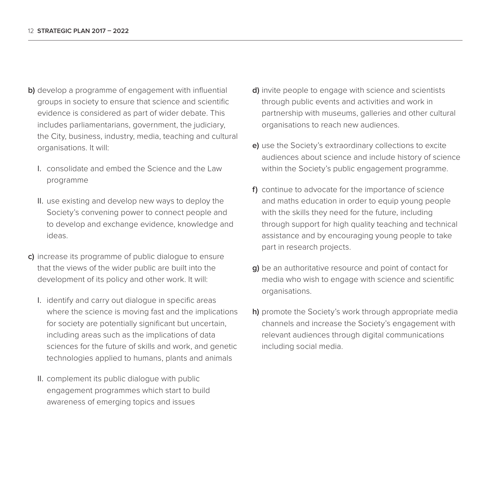- **b)** develop a programme of engagement with influential groups in society to ensure that science and scientific evidence is considered as part of wider debate. This includes parliamentarians, government, the judiciary, the City, business, industry, media, teaching and cultural organisations. It will:
	- I. consolidate and embed the Science and the Law programme
	- II. use existing and develop new ways to deploy the Society's convening power to connect people and to develop and exchange evidence, knowledge and ideas.
- **c)** increase its programme of public dialogue to ensure that the views of the wider public are built into the development of its policy and other work. It will:
	- I. identify and carry out dialogue in specific areas where the science is moving fast and the implications for society are potentially significant but uncertain, including areas such as the implications of data sciences for the future of skills and work, and genetic technologies applied to humans, plants and animals
	- II. complement its public dialogue with public engagement programmes which start to build awareness of emerging topics and issues
- **d)** invite people to engage with science and scientists through public events and activities and work in partnership with museums, galleries and other cultural organisations to reach new audiences.
- **e)** use the Society's extraordinary collections to excite audiences about science and include history of science within the Society's public engagement programme.
- **f)** continue to advocate for the importance of science and maths education in order to equip young people with the skills they need for the future, including through support for high quality teaching and technical assistance and by encouraging young people to take part in research projects.
- **g)** be an authoritative resource and point of contact for media who wish to engage with science and scientific organisations.
- **h)** promote the Society's work through appropriate media channels and increase the Society's engagement with relevant audiences through digital communications including social media.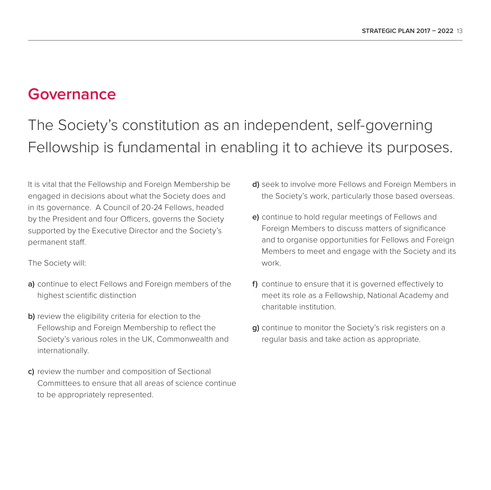### **Governance**

## The Society's constitution as an independent, self-governing Fellowship is fundamental in enabling it to achieve its purposes.

It is vital that the Fellowship and Foreign Membership be engaged in decisions about what the Society does and in its governance. A Council of 20-24 Fellows, headed by the President and four Officers, governs the Society supported by the Executive Director and the Society's permanent staff.

The Society will:

- **a)** continue to elect Fellows and Foreign members of the highest scientific distinction
- **b)** review the eligibility criteria for election to the Fellowship and Foreign Membership to reflect the Society's various roles in the UK, Commonwealth and internationally.
- **c)** review the number and composition of Sectional Committees to ensure that all areas of science continue to be appropriately represented.
- **d)** seek to involve more Fellows and Foreign Members in the Society's work, particularly those based overseas.
- **e)** continue to hold regular meetings of Fellows and Foreign Members to discuss matters of significance and to organise opportunities for Fellows and Foreign Members to meet and engage with the Society and its work.
- **f)** continue to ensure that it is governed effectively to meet its role as a Fellowship, National Academy and charitable institution.
- **g)** continue to monitor the Society's risk registers on a regular basis and take action as appropriate.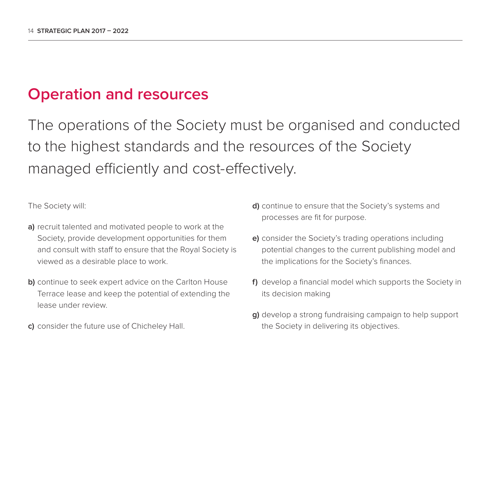### **Operation and resources**

The operations of the Society must be organised and conducted to the highest standards and the resources of the Society managed efficiently and cost-effectively.

The Society will:

- **a)** recruit talented and motivated people to work at the Society, provide development opportunities for them and consult with staff to ensure that the Royal Society is viewed as a desirable place to work.
- **b)** continue to seek expert advice on the Carlton House Terrace lease and keep the potential of extending the lease under review.
- **c)** consider the future use of Chicheley Hall.
- **d)** continue to ensure that the Society's systems and processes are fit for purpose.
- **e)** consider the Society's trading operations including potential changes to the current publishing model and the implications for the Society's finances.
- **f)** develop a financial model which supports the Society in its decision making
- **g)** develop a strong fundraising campaign to help support the Society in delivering its objectives.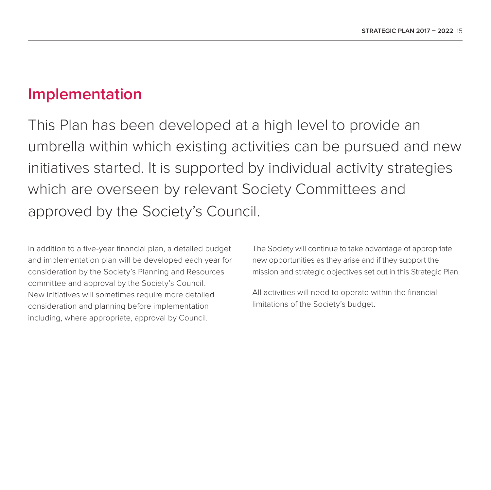### **Implementation**

This Plan has been developed at a high level to provide an umbrella within which existing activities can be pursued and new initiatives started. It is supported by individual activity strategies which are overseen by relevant Society Committees and approved by the Society's Council.

In addition to a five-year financial plan, a detailed budget and implementation plan will be developed each year for consideration by the Society's Planning and Resources committee and approval by the Society's Council. New initiatives will sometimes require more detailed consideration and planning before implementation including, where appropriate, approval by Council.

The Society will continue to take advantage of appropriate new opportunities as they arise and if they support the mission and strategic objectives set out in this Strategic Plan.

All activities will need to operate within the financial limitations of the Society's budget.